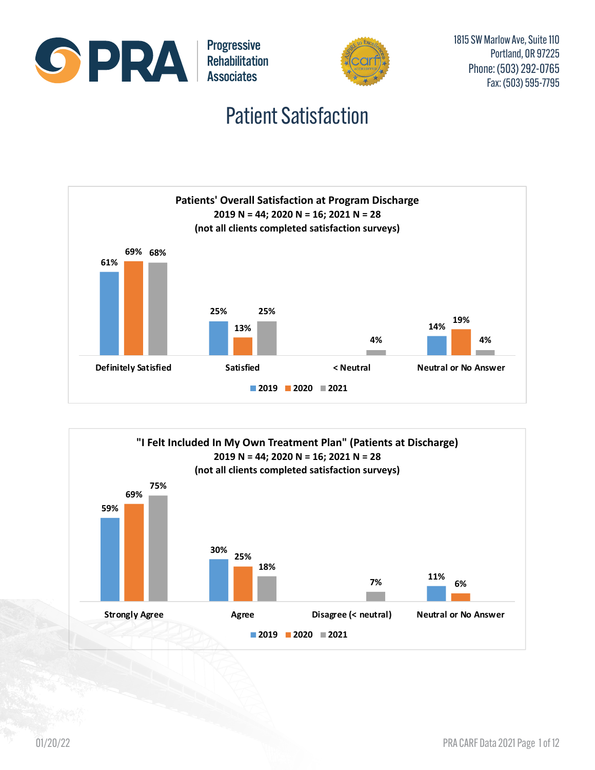

#### Patient Satisfaction



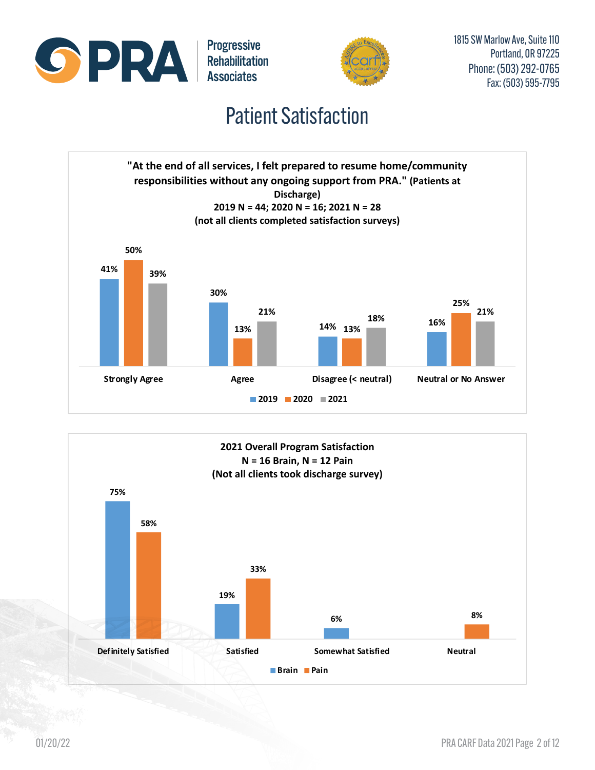



#### Patient Satisfaction



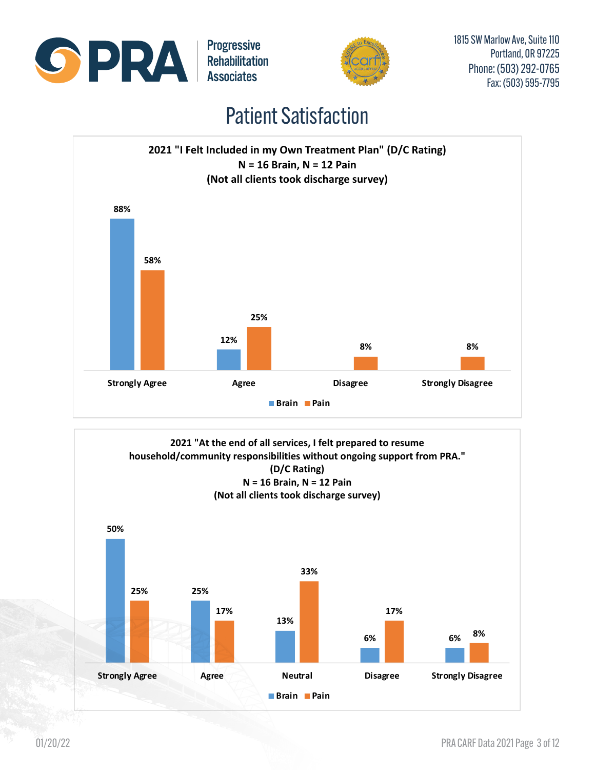





#### Patient Satisfaction



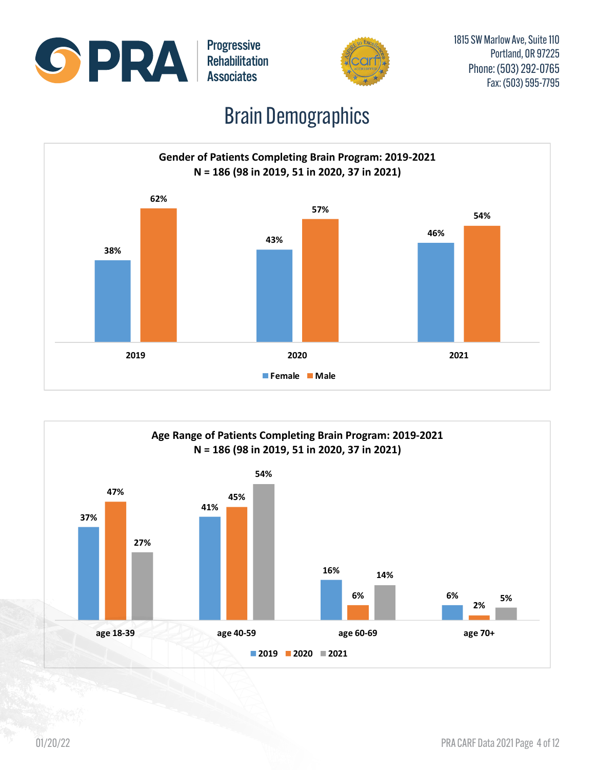



## Brain Demographics



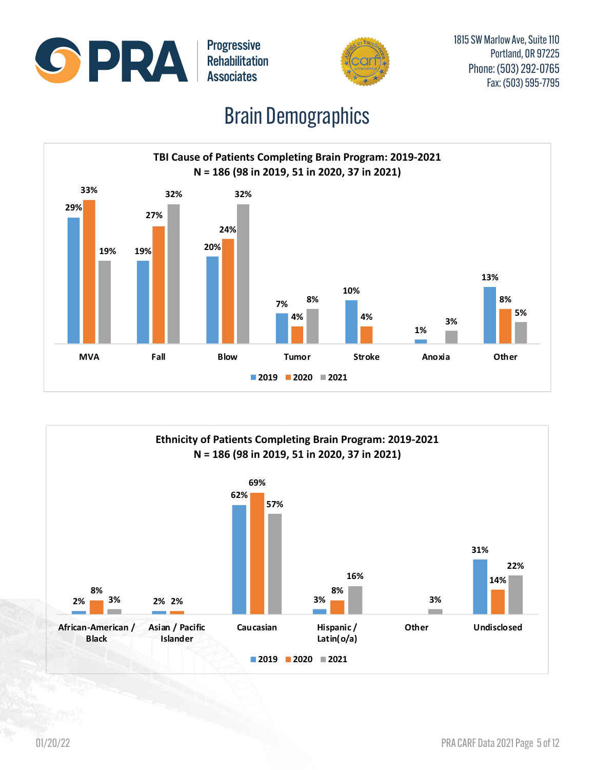



## Brain Demographics



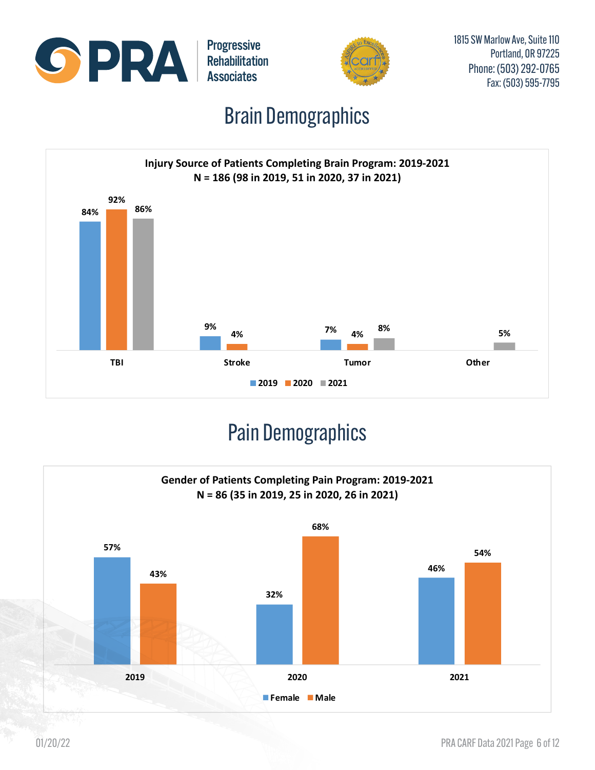



1815 SW Marlow Ave, Suite 110 Portland, OR 97225 Phone: (503) 292-0765 Fax: (503) 595-7795

## Brain Demographics



# Pain Demographics

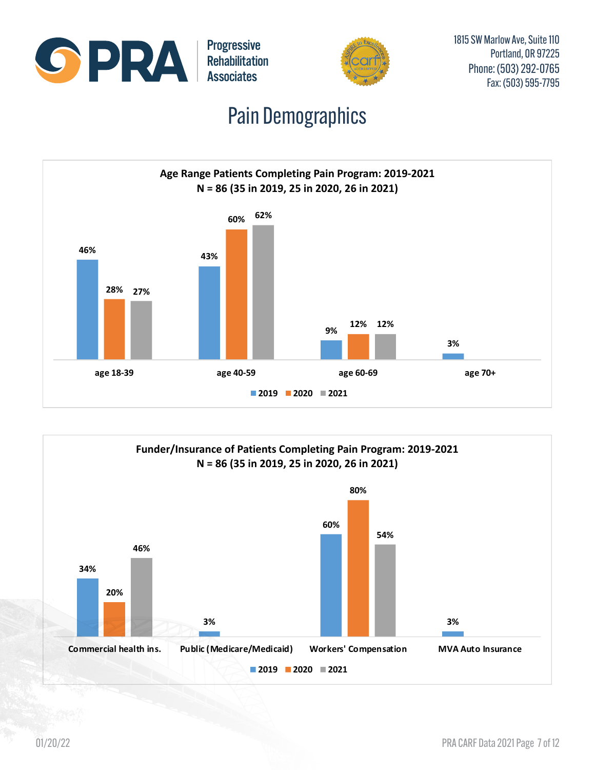



1815 SW Marlow Ave, Suite 110 Portland, OR 97225 Phone: (503) 292-0765 Fax: (503) 595-7795

## Pain Demographics



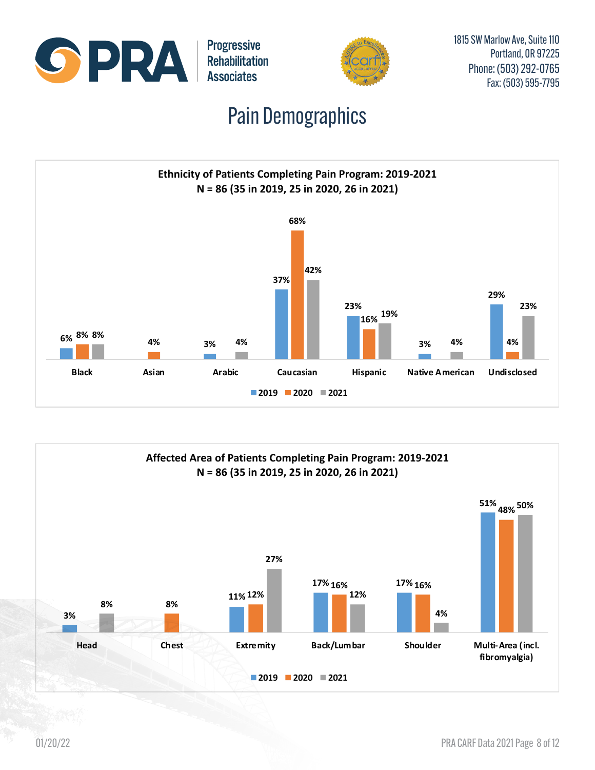



1815 SW Marlow Ave, Suite 110 Portland, OR 97225 Phone: (503) 292-0765 Fax: (503) 595-7795

# Pain Demographics



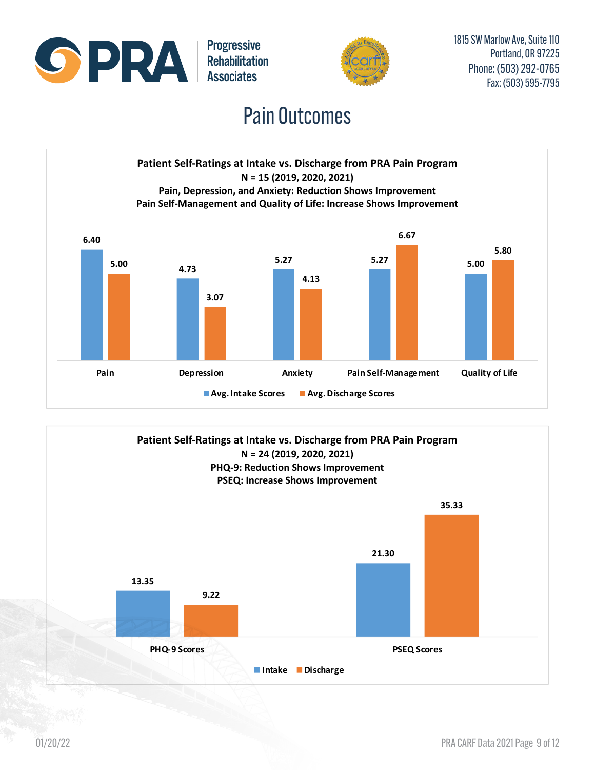



#### Pain Outcomes



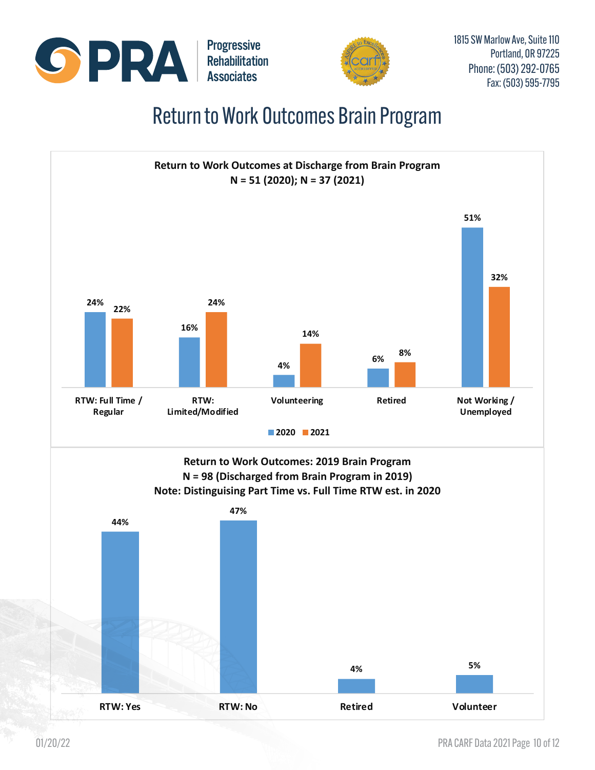



#### Return to Work Outcomes Brain Program

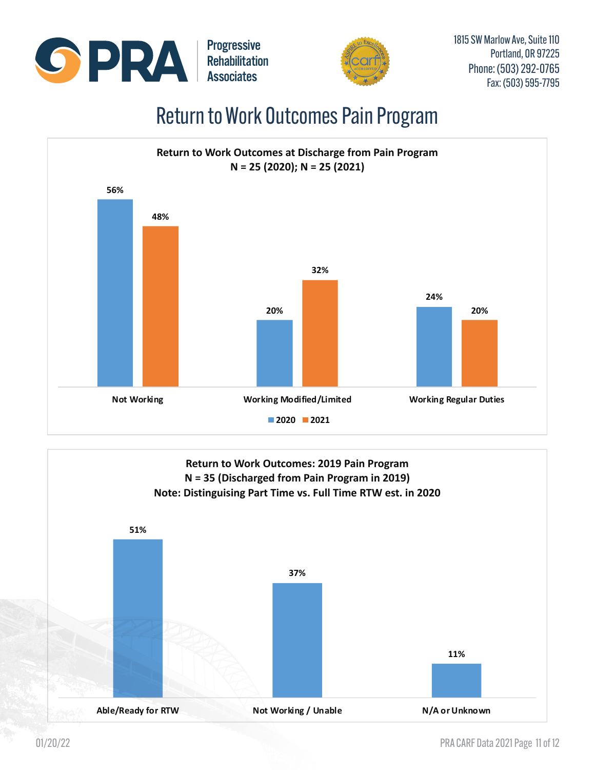



#### Return to Work Outcomes Pain Program